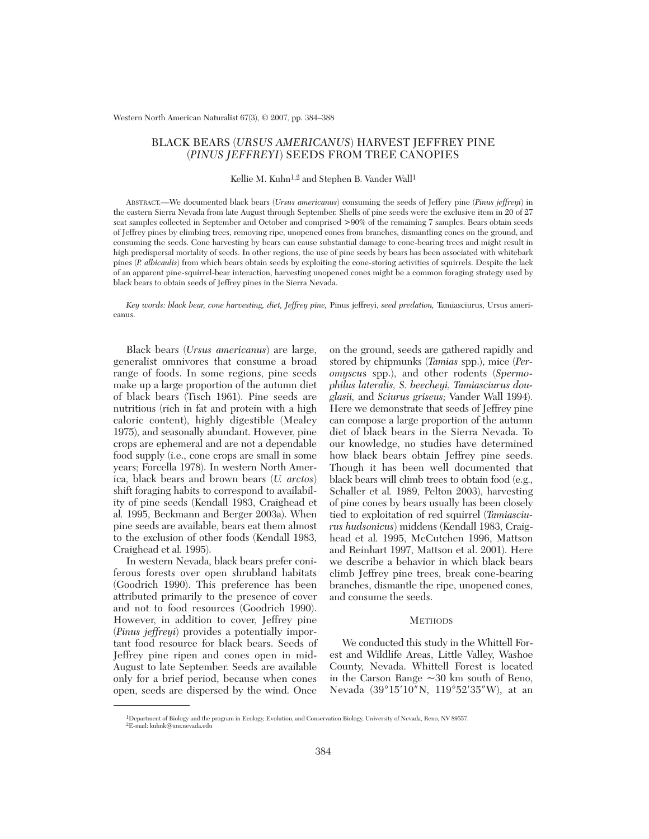Western North American Naturalist 67(3), © 2007, pp. 384–388

# BLACK BEARS (*URSUS AMERICANUS*) HARVEST JEFFREY PINE (*PINUS JEFFREYI*) SEEDS FROM TREE CANOPIES

# Kellie M. Kuhn<sup>1,2</sup> and Stephen B. Vander Wall<sup>1</sup>

ABSTRACT.—We documented black bears (*Ursus americanus*) consuming the seeds of Jeffery pine (*Pinus jeffreyi*) in the eastern Sierra Nevada from late August through September. Shells of pine seeds were the exclusive item in 20 of 27 scat samples collected in September and October and comprised >90% of the remaining 7 samples. Bears obtain seeds of Jeffrey pines by climbing trees, removing ripe, unopened cones from branches, dismantling cones on the ground, and consuming the seeds. Cone harvesting by bears can cause substantial damage to cone-bearing trees and might result in high predispersal mortality of seeds. In other regions, the use of pine seeds by bears has been associated with whitebark pines (*P. albicaulis*) from which bears obtain seeds by exploiting the cone-storing activities of squirrels. Despite the lack of an apparent pine-squirrel-bear interaction, harvesting unopened cones might be a common foraging strategy used by black bears to obtain seeds of Jeffrey pines in the Sierra Nevada.

*Key words: black bear, cone harvesting, diet, Jeffrey pine,* Pinus jeffreyi, *seed predation,* Tamiasciurus, Ursus americanus.

Black bears (*Ursus americanus*) are large, generalist omnivores that consume a broad range of foods. In some regions, pine seeds make up a large proportion of the autumn diet of black bears (Tisch 1961). Pine seeds are nutritious (rich in fat and protein with a high caloric content), highly digestible (Mealey 1975), and seasonally abundant. However, pine crops are ephemeral and are not a dependable food supply (i.e., cone crops are small in some years; Forcella 1978). In western North America, black bears and brown bears (*U. arctos*) shift foraging habits to correspond to availability of pine seeds (Kendall 1983, Craighead et al*.* 1995, Beckmann and Berger 2003a). When pine seeds are available, bears eat them almost to the exclusion of other foods (Kendall 1983, Craighead et al*.* 1995).

In western Nevada, black bears prefer coniferous forests over open shrubland habitats (Goodrich 1990). This preference has been attributed primarily to the presence of cover and not to food resources (Goodrich 1990). However, in addition to cover, Jeffrey pine (*Pinus jeffreyi*) provides a potentially important food resource for black bears. Seeds of Jeffrey pine ripen and cones open in mid-August to late September. Seeds are available only for a brief period, because when cones open, seeds are dispersed by the wind. Once

on the ground, seeds are gathered rapidly and stored by chipmunks (*Tamias* spp.), mice (*Peromyscu*s spp.), and other rodents (*Spermophilus lateralis, S. beecheyi, Tamiasciurus douglasii,* and *Sciurus griseus;* Vander Wall 1994). Here we demonstrate that seeds of Jeffrey pine can compose a large proportion of the autumn diet of black bears in the Sierra Nevada. To our knowledge, no studies have determined how black bears obtain Jeffrey pine seeds. Though it has been well documented that black bears will climb trees to obtain food (e.g., Schaller et al*.* 1989, Pelton 2003), harvesting of pine cones by bears usually has been closely tied to exploitation of red squirrel (*Tamiasciurus hudsonicus*) middens (Kendall 1983, Craighead et al*.* 1995, McCutchen 1996, Mattson and Reinhart 1997, Mattson et al. 2001). Here we describe a behavior in which black bears climb Jeffrey pine trees, break cone-bearing branches, dismantle the ripe, unopened cones, and consume the seeds.

## **METHODS**

We conducted this study in the Whittell Forest and Wildlife Areas, Little Valley, Washoe County, Nevada. Whittell Forest is located in the Carson Range  $\sim 30$  km south of Reno, Nevada (39°15′10″N, 119°52′35″W), at an

<sup>1</sup>Department of Biology and the program in Ecology, Evolution, and Conservation Biology, University of Nevada, Reno, NV 89557. 2E-mail: kuhnk@unr.nevada.edu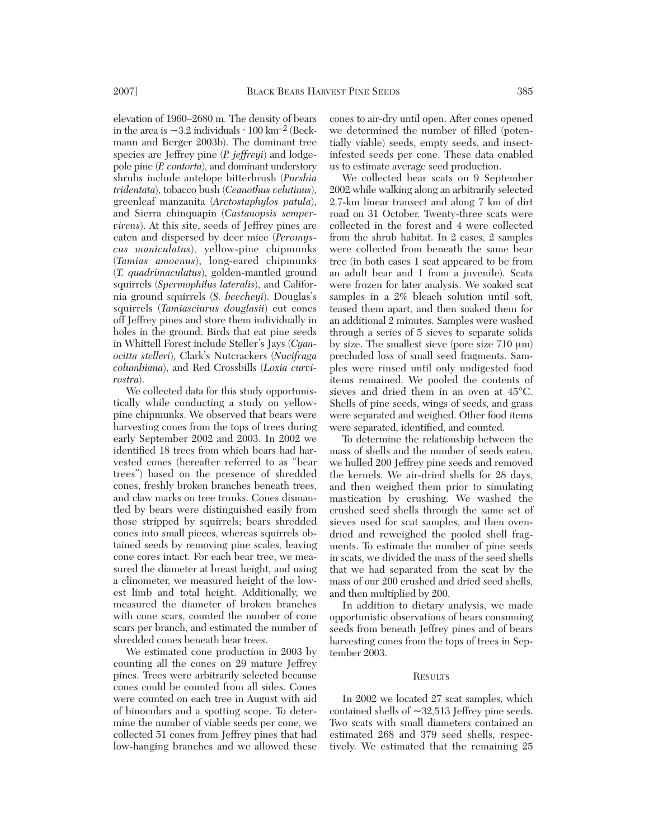elevation of 1960–2680 m. The density of bears in the area is  $\sim$ 3.2 individuals  $\cdot$  100 km<sup>-2</sup> (Beckmann and Berger 2003b). The dominant tree species are Jeffrey pine (*P. jeffreyi*) and lodgepole pine (*P. contorta*), and dominant understory shrubs include antelope bitterbrush (*Purshia tridentata*), tobacco bush (*Ceanothus velutinus*), greenleaf manzanita (*Arctostaphylos patula*), and Sierra chinquapin (*Castanopsis sempervirens*). At this site, seeds of Jeffrey pines are eaten and dispersed by deer mice (*Peromyscus maniculatus*), yellow-pine chipmunks (*Tamias amoenus*), long-eared chipmunks (*T. quadrimaculatus*), golden-mantled ground squirrels (*Spermophilus lateralis*), and California ground squirrels (*S. beecheyi*). Douglas's squirrels (*Tamiasciurus douglasii*) cut cones off Jeffrey pines and store them individually in holes in the ground. Birds that eat pine seeds in Whittell Forest include Steller's Jays (*Cyanocitta stelleri*), Clark's Nutcrackers (*Nucifraga columbiana*), and Red Crossbills (*Loxia curvirostra*).

We collected data for this study opportunistically while conducting a study on yellowpine chipmunks. We observed that bears were harvesting cones from the tops of trees during early September 2002 and 2003. In 2002 we identified 18 trees from which bears had harvested cones (hereafter referred to as "bear trees") based on the presence of shredded cones, freshly broken branches beneath trees, and claw marks on tree trunks. Cones dismantled by bears were distinguished easily from those stripped by squirrels; bears shredded cones into small pieces, whereas squirrels obtained seeds by removing pine scales, leaving cone cores intact. For each bear tree, we measured the diameter at breast height, and using a clinometer, we measured height of the lowest limb and total height. Additionally, we measured the diameter of broken branches with cone scars, counted the number of cone scars per branch, and estimated the number of shredded cones beneath bear trees.

We estimated cone production in 2003 by counting all the cones on 29 mature Jeffrey pines. Trees were arbitrarily selected because cones could be counted from all sides. Cones were counted on each tree in August with aid of binoculars and a spotting scope. To determine the number of viable seeds per cone, we collected 51 cones from Jeffrey pines that had low-hanging branches and we allowed these

cones to air-dry until open. After cones opened we determined the number of filled (potentially viable) seeds, empty seeds, and insectinfested seeds per cone. These data enabled us to estimate average seed production.

We collected bear scats on 9 September 2002 while walking along an arbitrarily selected 2.7-km linear transect and along 7 km of dirt road on 31 October. Twenty-three scats were collected in the forest and 4 were collected from the shrub habitat. In 2 cases, 2 samples were collected from beneath the same bear tree (in both cases 1 scat appeared to be from an adult bear and 1 from a juvenile). Scats were frozen for later analysis. We soaked scat samples in a 2% bleach solution until soft, teased them apart, and then soaked them for an additional 2 minutes. Samples were washed through a series of 5 sieves to separate solids by size. The smallest sieve (pore size 710 μm) precluded loss of small seed fragments. Samples were rinsed until only undigested food items remained. We pooled the contents of sieves and dried them in an oven at 45°C. Shells of pine seeds, wings of seeds, and grass were separated and weighed. Other food items were separated, identified, and counted.

To determine the relationship between the mass of shells and the number of seeds eaten, we hulled 200 Jeffrey pine seeds and removed the kernels. We air-dried shells for 28 days, and then weighed them prior to simulating mastication by crushing. We washed the crushed seed shells through the same set of sieves used for scat samples, and then ovendried and reweighed the pooled shell fragments. To estimate the number of pine seeds in scats, we divided the mass of the seed shells that we had separated from the scat by the mass of our 200 crushed and dried seed shells, and then multiplied by 200.

In addition to dietary analysis, we made opportunistic observations of bears consuming seeds from beneath Jeffrey pines and of bears harvesting cones from the tops of trees in September 2003.

# **RESULTS**

In 2002 we located 27 scat samples, which contained shells of ~32,513 Jeffrey pine seeds. Two scats with small diameters contained an estimated 268 and 379 seed shells, respectively. We estimated that the remaining 25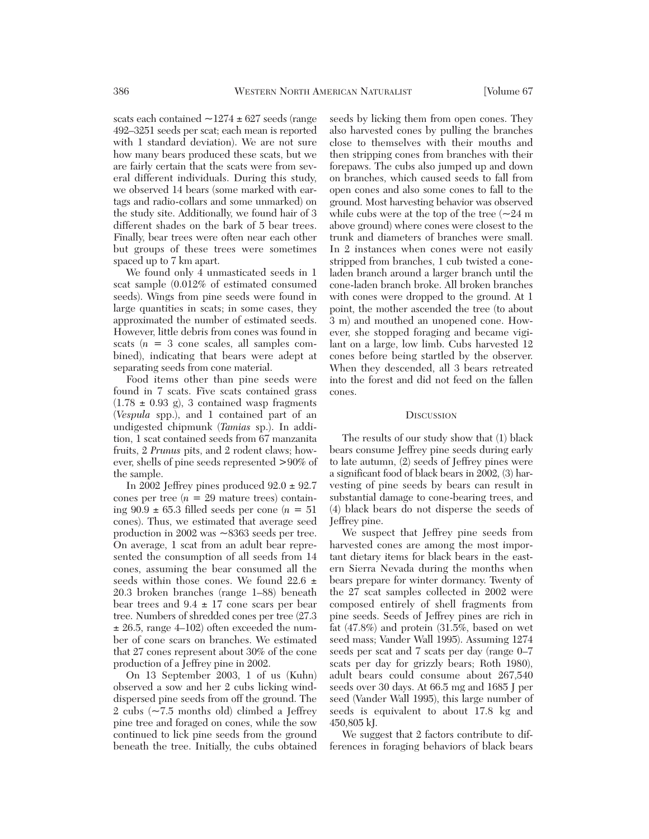scats each contained  $\sim$ 1274  $\pm$  627 seeds (range 492–3251 seeds per scat; each mean is reported with 1 standard deviation). We are not sure how many bears produced these scats, but we are fairly certain that the scats were from several different individuals. During this study, we observed 14 bears (some marked with eartags and radio-collars and some unmarked) on the study site. Additionally, we found hair of 3 different shades on the bark of 5 bear trees. Finally, bear trees were often near each other but groups of these trees were sometimes spaced up to 7 km apart.

We found only 4 unmasticated seeds in 1 scat sample (0.012% of estimated consumed seeds). Wings from pine seeds were found in large quantities in scats; in some cases, they approximated the number of estimated seeds. However, little debris from cones was found in scats  $(n = 3$  cone scales, all samples combined), indicating that bears were adept at separating seeds from cone material.

Food items other than pine seeds were found in 7 scats. Five scats contained grass  $(1.78 \pm 0.93 \text{ g})$ , 3 contained wasp fragments (*Vespula* spp.), and 1 contained part of an undigested chipmunk (*Tamias* sp.). In addition, 1 scat contained seeds from 67 manzanita fruits, 2 *Prunus* pits, and 2 rodent claws; however, shells of pine seeds represented >90% of the sample.

In 2002 Jeffrey pines produced  $92.0 \pm 92.7$ cones per tree  $(n = 29$  mature trees) containing 90.9 ± 65.3 filled seeds per cone (*n* = 51 cones). Thus, we estimated that average seed production in 2002 was ~8363 seeds per tree. On average, 1 scat from an adult bear represented the consumption of all seeds from 14 cones, assuming the bear consumed all the seeds within those cones. We found  $22.6 \pm$ 20.3 broken branches (range 1–88) beneath bear trees and  $9.4 \pm 17$  cone scars per bear tree. Numbers of shredded cones per tree (27.3  $\pm$  26.5, range 4–102) often exceeded the number of cone scars on branches. We estimated that 27 cones represent about 30% of the cone production of a Jeffrey pine in 2002.

On 13 September 2003, 1 of us (Kuhn) observed a sow and her 2 cubs licking winddispersed pine seeds from off the ground. The 2 cubs (~7.5 months old) climbed a Jeffrey pine tree and foraged on cones, while the sow continued to lick pine seeds from the ground beneath the tree. Initially, the cubs obtained seeds by licking them from open cones. They also harvested cones by pulling the branches close to themselves with their mouths and then stripping cones from branches with their forepaws. The cubs also jumped up and down on branches, which caused seeds to fall from open cones and also some cones to fall to the ground. Most harvesting behavior was observed while cubs were at the top of the tree  $\sim 24$  m above ground) where cones were closest to the trunk and diameters of branches were small. In 2 instances when cones were not easily stripped from branches, 1 cub twisted a coneladen branch around a larger branch until the cone-laden branch broke. All broken branches with cones were dropped to the ground. At 1 point, the mother ascended the tree (to about 3 m) and mouthed an unopened cone. However, she stopped foraging and became vigilant on a large, low limb. Cubs harvested 12 cones before being startled by the observer. When they descended, all 3 bears retreated into the forest and did not feed on the fallen cones.

### **DISCUSSION**

The results of our study show that (1) black bears consume Jeffrey pine seeds during early to late autumn, (2) seeds of Jeffrey pines were a significant food of black bears in 2002, (3) harvesting of pine seeds by bears can result in substantial damage to cone-bearing trees, and (4) black bears do not disperse the seeds of Jeffrey pine.

We suspect that Jeffrey pine seeds from harvested cones are among the most important dietary items for black bears in the eastern Sierra Nevada during the months when bears prepare for winter dormancy. Twenty of the 27 scat samples collected in 2002 were composed entirely of shell fragments from pine seeds. Seeds of Jeffrey pines are rich in fat (47.8%) and protein (31.5%, based on wet seed mass; Vander Wall 1995). Assuming 1274 seeds per scat and 7 scats per day (range 0–7 scats per day for grizzly bears; Roth 1980), adult bears could consume about 267,540 seeds over 30 days. At 66.5 mg and 1685 J per seed (Vander Wall 1995), this large number of seeds is equivalent to about 17.8 kg and 450,805 kJ.

We suggest that 2 factors contribute to differences in foraging behaviors of black bears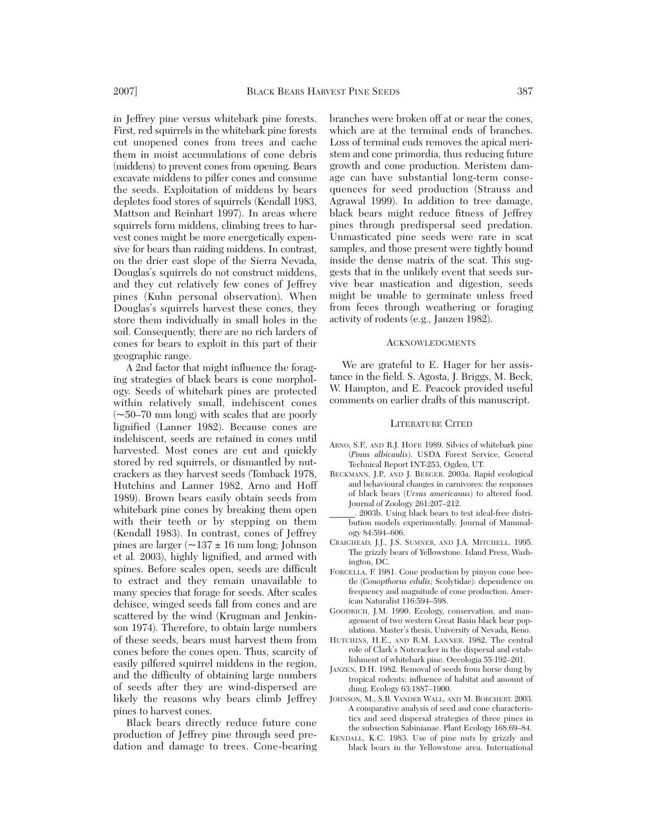in Jeffrey pine versus whitebark pine forests. First, red squirrels in the whitebark pine forests cut unopened cones from trees and cache them in moist accumulations of cone debris (middens) to prevent cones from opening. Bears excavate middens to pilfer cones and consume the seeds. Exploitation of middens by bears depletes food stores of squirrels (Kendall 1983, Mattson and Reinhart 1997). In areas where squirrels form middens, climbing trees to harvest cones might be more energetically expensive for bears than raiding middens. In contrast, on the drier east slope of the Sierra Nevada, Douglas's squirrels do not construct middens, and they cut relatively few cones of Jeffrey pines (Kuhn personal observation). When Douglas's squirrels harvest these cones, they store them individually in small holes in the soil. Consequently, there are no rich larders of cones for bears to exploit in this part of their geographic range.

A 2nd factor that might influence the foraging strategies of black bears is cone morphology. Seeds of whitebark pines are protected within relatively small, indehiscent cones  $(-50-70 \text{ mm long})$  with scales that are poorly lignified (Lanner 1982). Because cones are indehiscent, seeds are retained in cones until harvested. Most cones are cut and quickly stored by red squirrels, or dismantled by nutcrackers as they harvest seeds (Tomback 1978, Hutchins and Lanner 1982, Arno and Hoff 1989). Brown bears easily obtain seeds from whitebark pine cones by breaking them open with their teeth or by stepping on them (Kendall 1983). In contrast, cones of Jeffrey pines are larger  $(\sim 137 \pm 16 \text{ mm} \cdot \text{long})$ ; Johnson et al*.* 2003), highly lignified, and armed with spines. Before scales open, seeds are difficult to extract and they remain unavailable to many species that forage for seeds. After scales dehisce, winged seeds fall from cones and are scattered by the wind (Krugman and Jenkinson 1974). Therefore, to obtain large numbers of these seeds, bears must harvest them from cones before the cones open. Thus, scarcity of easily pilfered squirrel middens in the region, and the difficulty of obtaining large numbers of seeds after they are wind-dispersed are likely the reasons why bears climb Jeffrey pines to harvest cones.

Black bears directly reduce future cone production of Jeffrey pine through seed predation and damage to trees. Cone-bearing branches were broken off at or near the cones, which are at the terminal ends of branches. Loss of terminal ends removes the apical meristem and cone primordia, thus reducing future growth and cone production. Meristem damage can have substantial long-term consequences for seed production (Strauss and Agrawal 1999). In addition to tree damage, black bears might reduce fitness of Jeffrey pines through predispersal seed predation. Unmasticated pine seeds were rare in scat samples, and those present were tightly bound inside the dense matrix of the scat. This suggests that in the unlikely event that seeds survive bear mastication and digestion, seeds might be unable to germinate unless freed from feces through weathering or foraging activity of rodents (e.g., Janzen 1982).

## ACKNOWLEDGMENTS

We are grateful to E. Hager for her assistance in the field. S. Agosta, J. Briggs, M. Beck, W. Hampton, and E. Peacock provided useful comments on earlier drafts of this manuscript.

#### LITERATURE CITED

- ARNO, S.F., AND R.J. HOFF. 1989. Silvics of whitebark pine (*Pinus albicaulis*). USDA Forest Service, General Technical Report INT-253, Ogden, UT.
- BECKMANN, J.P., AND J. BERGER. 2003a. Rapid ecological and behavioural changes in carnivores: the responses of black bears (*Ursus americanus*) to altered food. Journal of Zoology 261:207–212.
- \_\_\_\_\_\_. 2003b. Using black bears to test ideal-free distribution models experimentally. Journal of Mammalogy 84:594–606.
- CRAIGHEAD, J.J., J.S. SUMNER, AND J.A. MITCHELL. 1995. The grizzly bears of Yellowstone. Island Press, Washington, DC.
- FORCELLA, F. 1981. Cone production by pinyon cone beetle (*Conopthorus edulis;* Scolytidae): dependence on frequency and magnitude of cone production. American Naturalist 116:594–598.
- GOODRICH, J.M. 1990. Ecology, conservation, and management of two western Great Basin black bear populations. Master's thesis, University of Nevada, Reno.
- HUTCHINS, H.E., AND R.M. LANNER. 1982. The central role of Clark's Nutcracker in the dispersal and establishment of whitebark pine. Oecologia 55:192–201.
- JANZEN, D.H. 1982. Removal of seeds from horse dung by tropical rodents: influence of habitat and amount of dung. Ecology 63:1887–1900.
- JOHNSON, M., S.B. VANDER WALL, AND M. BORCHERT. 2003. A comparative analysis of seed and cone characteristics and seed dispersal strategies of three pines in the subsection Sabinianae. Plant Ecology 168:69–84.
- KENDALL, K.C. 1983. Use of pine nuts by grizzly and black bears in the Yellowstone area. International